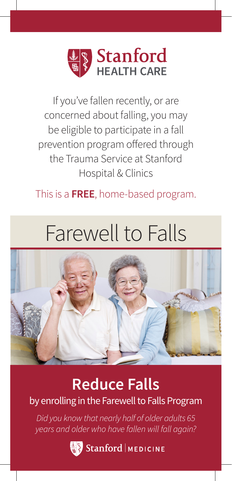

If you've fallen recently, or are concerned about falling, you may be eligible to participate in a fall prevention program offered through the Trauma Service at Stanford Hospital & Clinics

### This is a **FREE**, home-based program.

# Farewell to Falls



## **Reduce Falls**

by enrolling in the Farewell to Falls Program

*Did you know that nearly half of older adults 65 years and older who have fallen will fall again?*

Stanford | MEDICINE